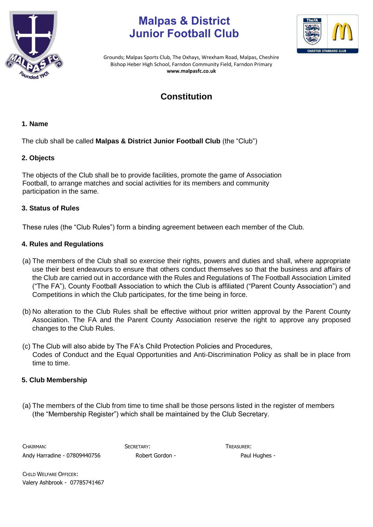

# **Malpas & District Junior Football Club**



Grounds; Malpas Sports Club, The Oxhays, Wrexham Road, Malpas, Cheshire Bishop Heber High School, Farndon Community Field, Farndon Primary **www.malpasfc.co.uk** 

# **Constitution**

# **1. Name**

The club shall be called **Malpas & District Junior Football Club** (the "Club")

# **2. Objects**

The objects of the Club shall be to provide facilities, promote the game of Association Football, to arrange matches and social activities for its members and community participation in the same.

# **3. Status of Rules**

These rules (the "Club Rules") form a binding agreement between each member of the Club.

# **4. Rules and Regulations**

- (a) The members of the Club shall so exercise their rights, powers and duties and shall, where appropriate use their best endeavours to ensure that others conduct themselves so that the business and affairs of the Club are carried out in accordance with the Rules and Regulations of The Football Association Limited ("The FA"), County Football Association to which the Club is affiliated ("Parent County Association") and Competitions in which the Club participates, for the time being in force.
- (b) No alteration to the Club Rules shall be effective without prior written approval by the Parent County Association. The FA and the Parent County Association reserve the right to approve any proposed changes to the Club Rules.
- (c) The Club will also abide by The FA's Child Protection Policies and Procedures, Codes of Conduct and the Equal Opportunities and Anti-Discrimination Policy as shall be in place from time to time.

# **5. Club Membership**

(a) The members of the Club from time to time shall be those persons listed in the register of members (the "Membership Register") which shall be maintained by the Club Secretary.

CHAIRMAN: SECRETARY: TREASURER: Andy Harradine - 07809440756 Robert Gordon - Paul Hughes -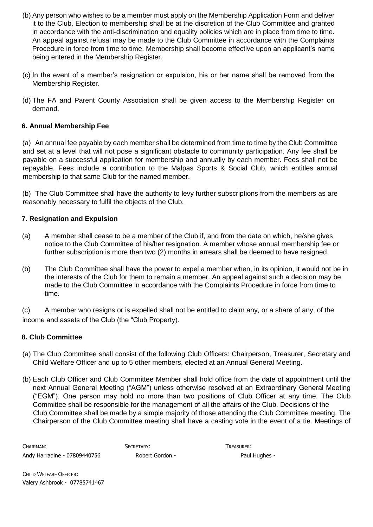- (b) Any person who wishes to be a member must apply on the Membership Application Form and deliver it to the Club. Election to membership shall be at the discretion of the Club Committee and granted in accordance with the anti-discrimination and equality policies which are in place from time to time. An appeal against refusal may be made to the Club Committee in accordance with the Complaints Procedure in force from time to time. Membership shall become effective upon an applicant's name being entered in the Membership Register.
- (c) In the event of a member's resignation or expulsion, his or her name shall be removed from the Membership Register.
- (d) The FA and Parent County Association shall be given access to the Membership Register on demand.

# **6. Annual Membership Fee**

(a) An annual fee payable by each member shall be determined from time to time by the Club Committee and set at a level that will not pose a significant obstacle to community participation. Any fee shall be payable on a successful application for membership and annually by each member. Fees shall not be repayable. Fees include a contribution to the Malpas Sports & Social Club, which entitles annual membership to that same Club for the named member.

(b) The Club Committee shall have the authority to levy further subscriptions from the members as are reasonably necessary to fulfil the objects of the Club.

# **7. Resignation and Expulsion**

- (a) A member shall cease to be a member of the Club if, and from the date on which, he/she gives notice to the Club Committee of his/her resignation. A member whose annual membership fee or further subscription is more than two (2) months in arrears shall be deemed to have resigned.
- (b) The Club Committee shall have the power to expel a member when, in its opinion, it would not be in the interests of the Club for them to remain a member. An appeal against such a decision may be made to the Club Committee in accordance with the Complaints Procedure in force from time to time.

(c) A member who resigns or is expelled shall not be entitled to claim any, or a share of any, of the income and assets of the Club (the "Club Property).

# **8. Club Committee**

- (a) The Club Committee shall consist of the following Club Officers: Chairperson, Treasurer, Secretary and Child Welfare Officer and up to 5 other members, elected at an Annual General Meeting.
- (b) Each Club Officer and Club Committee Member shall hold office from the date of appointment until the next Annual General Meeting ("AGM") unless otherwise resolved at an Extraordinary General Meeting ("EGM"). One person may hold no more than two positions of Club Officer at any time. The Club Committee shall be responsible for the management of all the affairs of the Club. Decisions of the Club Committee shall be made by a simple majority of those attending the Club Committee meeting. The Chairperson of the Club Committee meeting shall have a casting vote in the event of a tie. Meetings of

CHAIRMAN: SECRETARY: SECRETARY: TREASURER: Andy Harradine - 07809440756 Robert Gordon - Paul Hughes -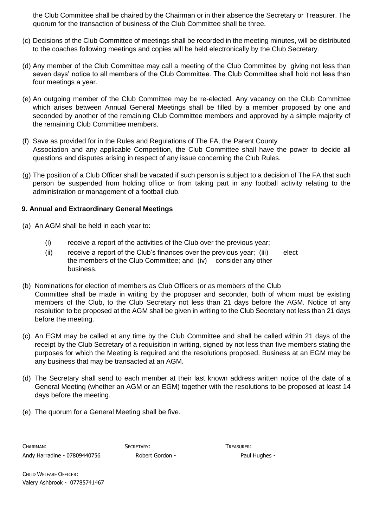the Club Committee shall be chaired by the Chairman or in their absence the Secretary or Treasurer. The quorum for the transaction of business of the Club Committee shall be three.

- (c) Decisions of the Club Committee of meetings shall be recorded in the meeting minutes, will be distributed to the coaches following meetings and copies will be held electronically by the Club Secretary.
- (d) Any member of the Club Committee may call a meeting of the Club Committee by giving not less than seven days' notice to all members of the Club Committee. The Club Committee shall hold not less than four meetings a year.
- (e) An outgoing member of the Club Committee may be re-elected. Any vacancy on the Club Committee which arises between Annual General Meetings shall be filled by a member proposed by one and seconded by another of the remaining Club Committee members and approved by a simple majority of the remaining Club Committee members.
- (f) Save as provided for in the Rules and Regulations of The FA, the Parent County Association and any applicable Competition, the Club Committee shall have the power to decide all questions and disputes arising in respect of any issue concerning the Club Rules.
- (g) The position of a Club Officer shall be vacated if such person is subject to a decision of The FA that such person be suspended from holding office or from taking part in any football activity relating to the administration or management of a football club.

# **9. Annual and Extraordinary General Meetings**

- (a) An AGM shall be held in each year to:
	- (i) receive a report of the activities of the Club over the previous year;
	- (ii) receive a report of the Club's finances over the previous year; (iii) elect the members of the Club Committee; and (iv) consider any other business.
- (b) Nominations for election of members as Club Officers or as members of the Club Committee shall be made in writing by the proposer and seconder, both of whom must be existing members of the Club, to the Club Secretary not less than 21 days before the AGM. Notice of any resolution to be proposed at the AGM shall be given in writing to the Club Secretary not less than 21 days before the meeting.
- (c) An EGM may be called at any time by the Club Committee and shall be called within 21 days of the receipt by the Club Secretary of a requisition in writing, signed by not less than five members stating the purposes for which the Meeting is required and the resolutions proposed. Business at an EGM may be any business that may be transacted at an AGM.
- (d) The Secretary shall send to each member at their last known address written notice of the date of a General Meeting (whether an AGM or an EGM) together with the resolutions to be proposed at least 14 days before the meeting.
- (e) The quorum for a General Meeting shall be five.

CHAIRMAN: SECRETARY: TREASURER: Andy Harradine - 07809440756 Robert Gordon - Paul Hughes -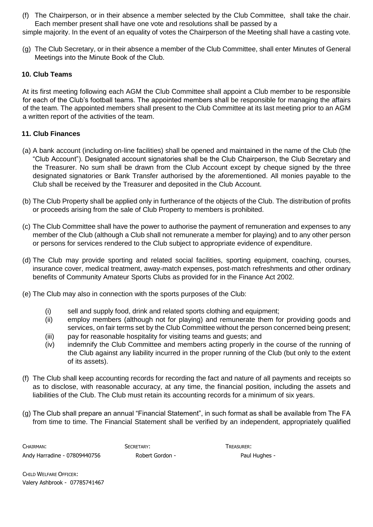(f) The Chairperson, or in their absence a member selected by the Club Committee, shall take the chair. Each member present shall have one vote and resolutions shall be passed by a

simple majority. In the event of an equality of votes the Chairperson of the Meeting shall have a casting vote.

(g) The Club Secretary, or in their absence a member of the Club Committee, shall enter Minutes of General Meetings into the Minute Book of the Club.

#### **10. Club Teams**

At its first meeting following each AGM the Club Committee shall appoint a Club member to be responsible for each of the Club's football teams. The appointed members shall be responsible for managing the affairs of the team. The appointed members shall present to the Club Committee at its last meeting prior to an AGM a written report of the activities of the team.

# **11. Club Finances**

- (a) A bank account (including on-line facilities) shall be opened and maintained in the name of the Club (the "Club Account"). Designated account signatories shall be the Club Chairperson, the Club Secretary and the Treasurer. No sum shall be drawn from the Club Account except by cheque signed by the three designated signatories or Bank Transfer authorised by the aforementioned. All monies payable to the Club shall be received by the Treasurer and deposited in the Club Account.
- (b) The Club Property shall be applied only in furtherance of the objects of the Club. The distribution of profits or proceeds arising from the sale of Club Property to members is prohibited.
- (c) The Club Committee shall have the power to authorise the payment of remuneration and expenses to any member of the Club (although a Club shall not remunerate a member for playing) and to any other person or persons for services rendered to the Club subject to appropriate evidence of expenditure.
- (d) The Club may provide sporting and related social facilities, sporting equipment, coaching, courses, insurance cover, medical treatment, away-match expenses, post-match refreshments and other ordinary benefits of Community Amateur Sports Clubs as provided for in the Finance Act 2002.
- (e) The Club may also in connection with the sports purposes of the Club:
	- (i) sell and supply food, drink and related sports clothing and equipment;
	- (ii) employ members (although not for playing) and remunerate them for providing goods and services, on fair terms set by the Club Committee without the person concerned being present;
	- (iii) pay for reasonable hospitality for visiting teams and guests; and
	- (iv) indemnify the Club Committee and members acting properly in the course of the running of the Club against any liability incurred in the proper running of the Club (but only to the extent of its assets).
- (f) The Club shall keep accounting records for recording the fact and nature of all payments and receipts so as to disclose, with reasonable accuracy, at any time, the financial position, including the assets and liabilities of the Club. The Club must retain its accounting records for a minimum of six years.
- (g) The Club shall prepare an annual "Financial Statement", in such format as shall be available from The FA from time to time. The Financial Statement shall be verified by an independent, appropriately qualified

CHAIRMAN: SECRETARY: SECRETARY: TREASURER: Andy Harradine - 07809440756 Robert Gordon - Paul Hughes -